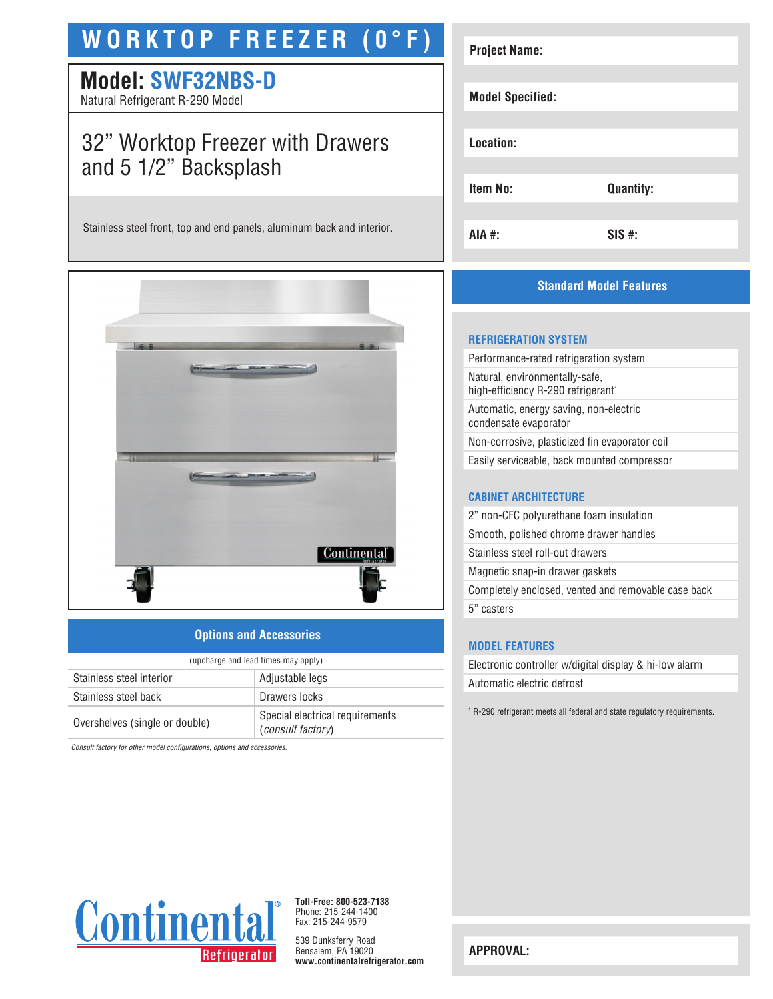# **WORKTOP FREEZER (0°F)**

# **Model: SWF32NBS-D**

Natural Refrigerant R-290 Model

# 32" Worktop Freezer with Drawers and 5 1/2" Backsplash

Stainless steel front, top and end panels, aluminum back and interior.



## **Options and Accessories**

| (upcharge and lead times may apply) |                                                      |  |
|-------------------------------------|------------------------------------------------------|--|
| Stainless steel interior            | Adjustable legs                                      |  |
| Stainless steel back                | Drawers locks                                        |  |
| Overshelves (single or double)      | Special electrical requirements<br>(consult factory) |  |

*Consult factory for other model configurations, options and accessories.*

| <b>Project Name:</b>    |                  |
|-------------------------|------------------|
| <b>Model Specified:</b> |                  |
| Location:               |                  |
| <b>Item No:</b>         | <b>Quantity:</b> |
| AIA #:                  | $SIS$ #:         |

# **Standard Model Features**

#### **REFRIGERATION SYSTEM**

Performance-rated refrigeration system Natural, environmentally-safe, high-efficiency R-290 refrigerant<sup>1</sup> Automatic, energy saving, non-electric condensate evaporator Non-corrosive, plasticized fin evaporator coil Easily serviceable, back mounted compressor

#### **CABINET ARCHITECTURE**

2" non-CFC polyurethane foam insulation Smooth, polished chrome drawer handles Stainless steel roll-out drawers Magnetic snap-in drawer gaskets Completely enclosed, vented and removable case back 5" casters

## **MODEL FEATURES**

Electronic controller w/digital display & hi-low alarm Automatic electric defrost

1 R-290 refrigerant meets all federal and state regulatory requirements.



**Toll-Free: 800-523-7138** Phone: 215-244-1400 Fax: 215-244-9579

539 Dunksferry Road Bensalem, PA 19020 **www.continentalrefrigerator.com** 

**APPROVAL:**